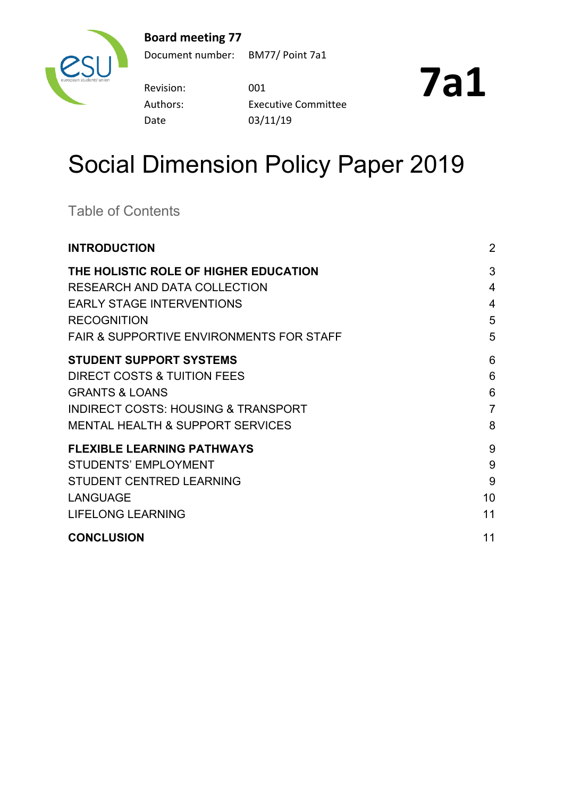### **Board meeting 77**



Document number: BM77/ Point 7a1

Revision: 001 Date 03/11/19

Authors: Executive Committee

**7a1**

# Social Dimension Policy Paper 2019

Table of Contents

| <b>INTRODUCTION</b>                                 | $\overline{2}$ |
|-----------------------------------------------------|----------------|
| THE HOLISTIC ROLE OF HIGHER EDUCATION               | 3              |
| RESEARCH AND DATA COLLECTION                        | $\overline{4}$ |
| <b>EARLY STAGE INTERVENTIONS</b>                    | $\overline{4}$ |
| <b>RECOGNITION</b>                                  | 5              |
| <b>FAIR &amp; SUPPORTIVE ENVIRONMENTS FOR STAFF</b> | 5              |
| <b>STUDENT SUPPORT SYSTEMS</b>                      | 6              |
| DIRECT COSTS & TUITION FEES                         | 6              |
| <b>GRANTS &amp; LOANS</b>                           | 6              |
| <b>INDIRECT COSTS: HOUSING &amp; TRANSPORT</b>      | $\overline{7}$ |
| <b>MENTAL HEALTH &amp; SUPPORT SERVICES</b>         | 8              |
| <b>FLEXIBLE LEARNING PATHWAYS</b>                   | 9              |
| <b>STUDENTS' EMPLOYMENT</b>                         | 9              |
| <b>STUDENT CENTRED LEARNING</b>                     | 9              |
| <b>LANGUAGE</b>                                     | 10             |
| <b>LIFELONG LEARNING</b>                            | 11             |
| <b>CONCLUSION</b>                                   | 11             |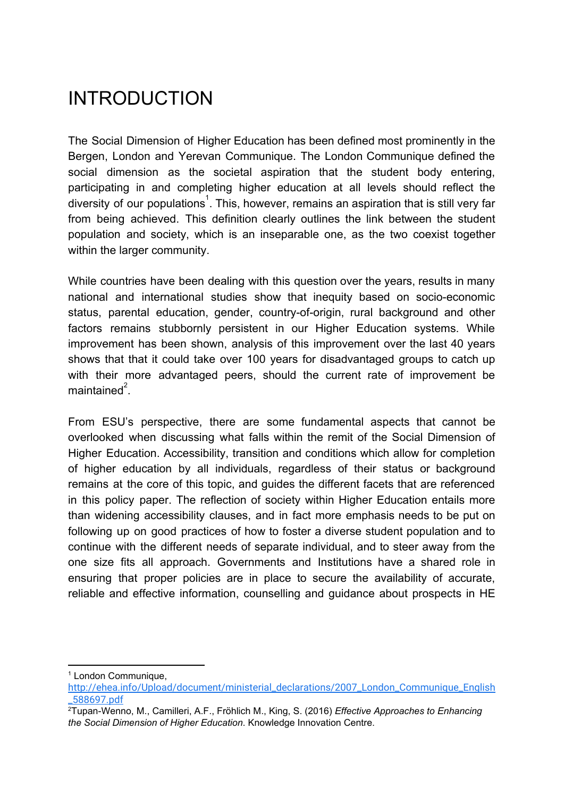# <span id="page-1-0"></span>INTRODUCTION

The Social Dimension of Higher Education has been defined most prominently in the Bergen, London and Yerevan Communique. The London Communique defined the social dimension as the societal aspiration that the student body entering, participating in and completing higher education at all levels should reflect the diversity of our populations<sup>1</sup>. This, however, remains an aspiration that is still very far from being achieved. This definition clearly outlines the link between the student population and society, which is an inseparable one, as the two coexist together within the larger community.

While countries have been dealing with this question over the years, results in many national and international studies show that inequity based on socio-economic status, parental education, gender, country-of-origin, rural background and other factors remains stubbornly persistent in our Higher Education systems. While improvement has been shown, analysis of this improvement over the last 40 years shows that that it could take over 100 years for disadvantaged groups to catch up with their more advantaged peers, should the current rate of improvement be maintained $2$ .

From ESU's perspective, there are some fundamental aspects that cannot be overlooked when discussing what falls within the remit of the Social Dimension of Higher Education. Accessibility, transition and conditions which allow for completion of higher education by all individuals, regardless of their status or background remains at the core of this topic, and guides the different facets that are referenced in this policy paper. The reflection of society within Higher Education entails more than widening accessibility clauses, and in fact more emphasis needs to be put on following up on good practices of how to foster a diverse student population and to continue with the different needs of separate individual, and to steer away from the one size fits all approach. Governments and Institutions have a shared role in ensuring that proper policies are in place to secure the availability of accurate, reliable and effective information, counselling and guidance about prospects in HE

<sup>1</sup> London Communique,

[http://ehea.info/Upload/document/ministerial\\_declarations/2007\\_London\\_Communique\\_English](http://ehea.info/Upload/document/ministerial_declarations/2007_London_Communique_English_588697.pdf) [\\_588697.pdf](http://ehea.info/Upload/document/ministerial_declarations/2007_London_Communique_English_588697.pdf)

<sup>2</sup>Tupan-Wenno, M., Camilleri, A.F., Fröhlich M., King, S. (2016) *Effective Approaches to Enhancing the Social Dimension of Higher Education*. Knowledge Innovation Centre.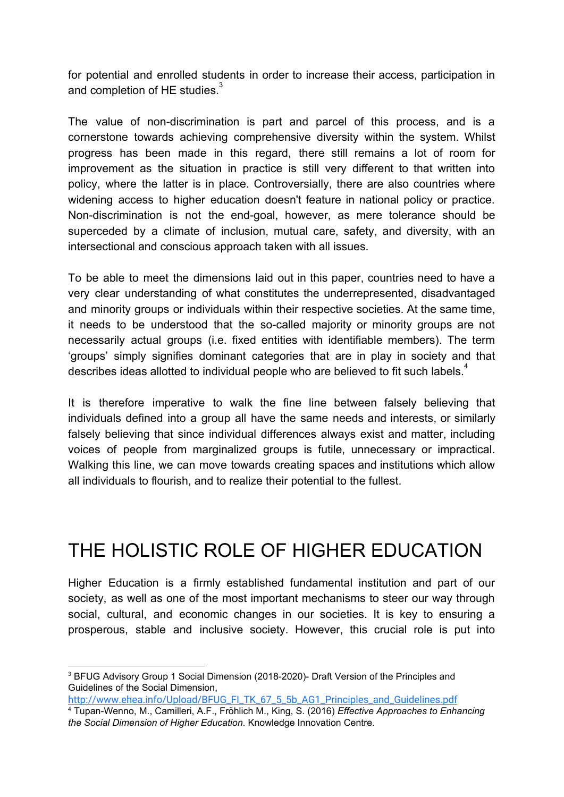for potential and enrolled students in order to increase their access, participation in and completion of HE studies. $3$ 

The value of non-discrimination is part and parcel of this process, and is a cornerstone towards achieving comprehensive diversity within the system. Whilst progress has been made in this regard, there still remains a lot of room for improvement as the situation in practice is still very different to that written into policy, where the latter is in place. Controversially, there are also countries where widening access to higher education doesn't feature in national policy or practice. Non-discrimination is not the end-goal, however, as mere tolerance should be superceded by a climate of inclusion, mutual care, safety, and diversity, with an intersectional and conscious approach taken with all issues.

To be able to meet the dimensions laid out in this paper, countries need to have a very clear understanding of what constitutes the underrepresented, disadvantaged and minority groups or individuals within their respective societies. At the same time, it needs to be understood that the so-called majority or minority groups are not necessarily actual groups (i.e. fixed entities with identifiable members). The term 'groups' simply signifies dominant categories that are in play in society and that describes ideas allotted to individual people who are believed to fit such labels.<sup>4</sup>

It is therefore imperative to walk the fine line between falsely believing that individuals defined into a group all have the same needs and interests, or similarly falsely believing that since individual differences always exist and matter, including voices of people from marginalized groups is futile, unnecessary or impractical. Walking this line, we can move towards creating spaces and institutions which allow all individuals to flourish, and to realize their potential to the fullest.

# <span id="page-2-0"></span>THE HOLISTIC ROLE OF HIGHER EDUCATION

Higher Education is a firmly established fundamental institution and part of our society, as well as one of the most important mechanisms to steer our way through social, cultural, and economic changes in our societies. It is key to ensuring a prosperous, stable and inclusive society. However, this crucial role is put into

<sup>&</sup>lt;sup>3</sup> BFUG Advisory Group 1 Social Dimension (2018-2020)- Draft Version of the Principles and Guidelines of the Social Dimension,

[http://www.ehea.info/Upload/BFUG\\_FI\\_TK\\_67\\_5\\_5b\\_AG1\\_Principles\\_and\\_Guidelines.pdf](http://www.ehea.info/Upload/BFUG_FI_TK_67_5_5b_AG1_Principles_and_Guidelines.pdf) <sup>4</sup> Tupan-Wenno, M., Camilleri, A.F., Fröhlich M., King, S. (2016) *Effective Approaches to Enhancing the Social Dimension of Higher Education*. Knowledge Innovation Centre.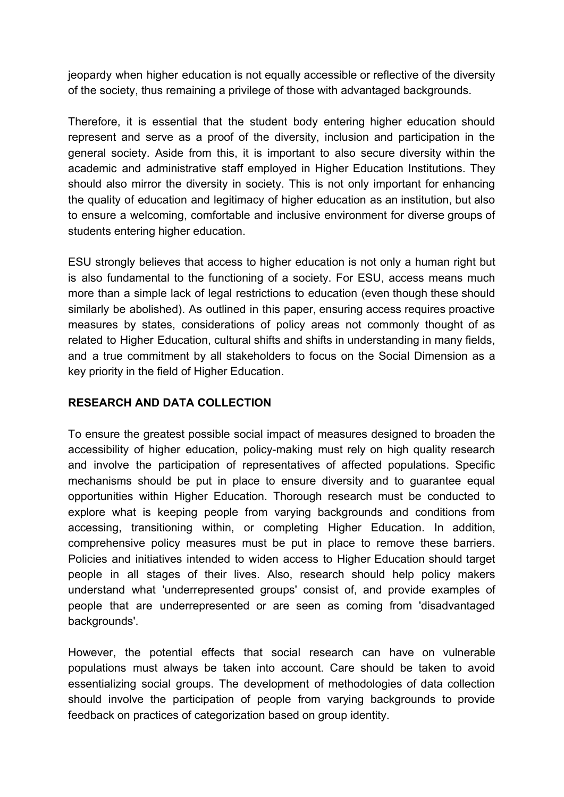jeopardy when higher education is not equally accessible or reflective of the diversity of the society, thus remaining a privilege of those with advantaged backgrounds.

Therefore, it is essential that the student body entering higher education should represent and serve as a proof of the diversity, inclusion and participation in the general society. Aside from this, it is important to also secure diversity within the academic and administrative staff employed in Higher Education Institutions. They should also mirror the diversity in society. This is not only important for enhancing the quality of education and legitimacy of higher education as an institution, but also to ensure a welcoming, comfortable and inclusive environment for diverse groups of students entering higher education.

ESU strongly believes that access to higher education is not only a human right but is also fundamental to the functioning of a society. For ESU, access means much more than a simple lack of legal restrictions to education (even though these should similarly be abolished). As outlined in this paper, ensuring access requires proactive measures by states, considerations of policy areas not commonly thought of as related to Higher Education, cultural shifts and shifts in understanding in many fields, and a true commitment by all stakeholders to focus on the Social Dimension as a key priority in the field of Higher Education.

#### <span id="page-3-0"></span>**RESEARCH AND DATA COLLECTION**

To ensure the greatest possible social impact of measures designed to broaden the accessibility of higher education, policy-making must rely on high quality research and involve the participation of representatives of affected populations. Specific mechanisms should be put in place to ensure diversity and to guarantee equal opportunities within Higher Education. Thorough research must be conducted to explore what is keeping people from varying backgrounds and conditions from accessing, transitioning within, or completing Higher Education. In addition, comprehensive policy measures must be put in place to remove these barriers. Policies and initiatives intended to widen access to Higher Education should target people in all stages of their lives. Also, research should help policy makers understand what 'underrepresented groups' consist of, and provide examples of people that are underrepresented or are seen as coming from 'disadvantaged backgrounds'.

However, the potential effects that social research can have on vulnerable populations must always be taken into account. Care should be taken to avoid essentializing social groups. The development of methodologies of data collection should involve the participation of people from varying backgrounds to provide feedback on practices of categorization based on group identity.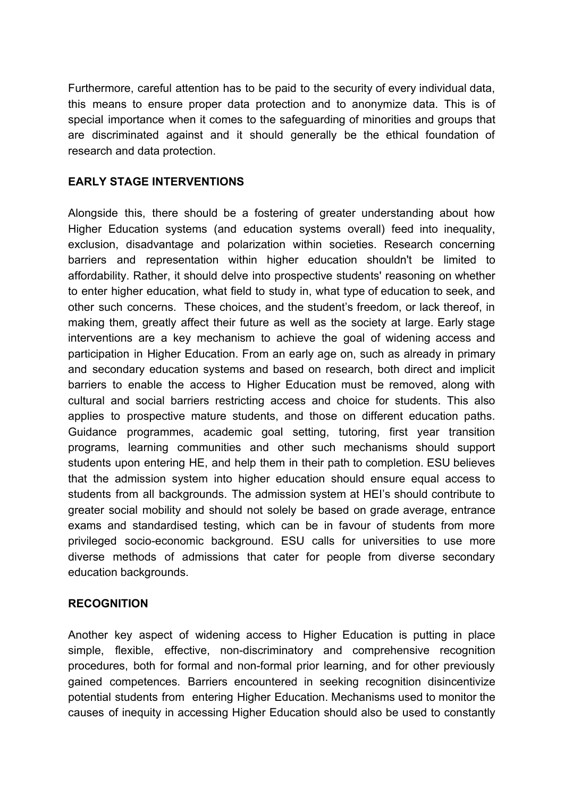Furthermore, careful attention has to be paid to the security of every individual data, this means to ensure proper data protection and to anonymize data. This is of special importance when it comes to the safeguarding of minorities and groups that are discriminated against and it should generally be the ethical foundation of research and data protection.

#### <span id="page-4-0"></span>**EARLY STAGE INTERVENTIONS**

Alongside this, there should be a fostering of greater understanding about how Higher Education systems (and education systems overall) feed into inequality, exclusion, disadvantage and polarization within societies. Research concerning barriers and representation within higher education shouldn't be limited to affordability. Rather, it should delve into prospective students' reasoning on whether to enter higher education, what field to study in, what type of education to seek, and other such concerns. These choices, and the student's freedom, or lack thereof, in making them, greatly affect their future as well as the society at large. Early stage interventions are a key mechanism to achieve the goal of widening access and participation in Higher Education. From an early age on, such as already in primary and secondary education systems and based on research, both direct and implicit barriers to enable the access to Higher Education must be removed, along with cultural and social barriers restricting access and choice for students. This also applies to prospective mature students, and those on different education paths. Guidance programmes, academic goal setting, tutoring, first year transition programs, learning communities and other such mechanisms should support students upon entering HE, and help them in their path to completion. ESU believes that the admission system into higher education should ensure equal access to students from all backgrounds. The admission system at HEI's should contribute to greater social mobility and should not solely be based on grade average, entrance exams and standardised testing, which can be in favour of students from more privileged socio-economic background. ESU calls for universities to use more diverse methods of admissions that cater for people from diverse secondary education backgrounds.

#### <span id="page-4-1"></span>**RECOGNITION**

Another key aspect of widening access to Higher Education is putting in place simple, flexible, effective, non-discriminatory and comprehensive recognition procedures, both for formal and non-formal prior learning, and for other previously gained competences. Barriers encountered in seeking recognition disincentivize potential students from entering Higher Education. Mechanisms used to monitor the causes of inequity in accessing Higher Education should also be used to constantly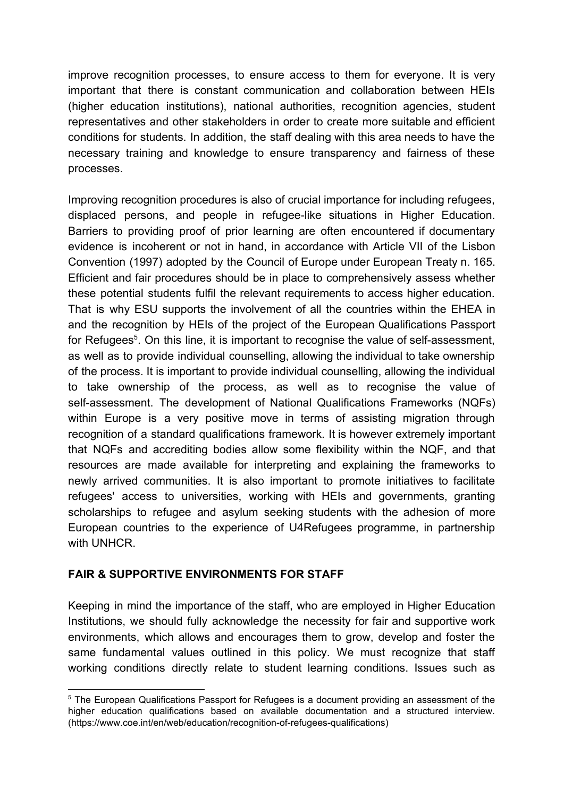improve recognition processes, to ensure access to them for everyone. It is very important that there is constant communication and collaboration between HEIs (higher education institutions), national authorities, recognition agencies, student representatives and other stakeholders in order to create more suitable and efficient conditions for students. In addition, the staff dealing with this area needs to have the necessary training and knowledge to ensure transparency and fairness of these processes.

Improving recognition procedures is also of crucial importance for including refugees, displaced persons, and people in refugee-like situations in Higher Education. Barriers to providing proof of prior learning are often encountered if documentary evidence is incoherent or not in hand, in accordance with Article VII of the Lisbon Convention (1997) adopted by the Council of Europe under European Treaty n. 165. Efficient and fair procedures should be in place to comprehensively assess whether these potential students fulfil the relevant requirements to access higher education. That is why ESU supports the involvement of all the countries within the EHEA in and the recognition by HEIs of the project of the European Qualifications Passport for Refugees<sup>5</sup>. On this line, it is important to recognise the value of self-assessment, as well as to provide individual counselling, allowing the individual to take ownership of the process. It is important to provide individual counselling, allowing the individual to take ownership of the process, as well as to recognise the value of self-assessment. The development of National Qualifications Frameworks (NQFs) within Europe is a very positive move in terms of assisting migration through recognition of a standard qualifications framework. It is however extremely important that NQFs and accrediting bodies allow some flexibility within the NQF, and that resources are made available for interpreting and explaining the frameworks to newly arrived communities. It is also important to promote initiatives to facilitate refugees' access to universities, working with HEIs and governments, granting scholarships to refugee and asylum seeking students with the adhesion of more European countries to the experience of U4Refugees programme, in partnership with UNHCR.

#### <span id="page-5-0"></span>**FAIR & SUPPORTIVE ENVIRONMENTS FOR STAFF**

Keeping in mind the importance of the staff, who are employed in Higher Education Institutions, we should fully acknowledge the necessity for fair and supportive work environments, which allows and encourages them to grow, develop and foster the same fundamental values outlined in this policy. We must recognize that staff working conditions directly relate to student learning conditions. Issues such as

<sup>5</sup> The European Qualifications Passport for Refugees is a document providing an assessment of the higher education qualifications based on available documentation and a structured interview. (https://www.coe.int/en/web/education/recognition-of-refugees-qualifications)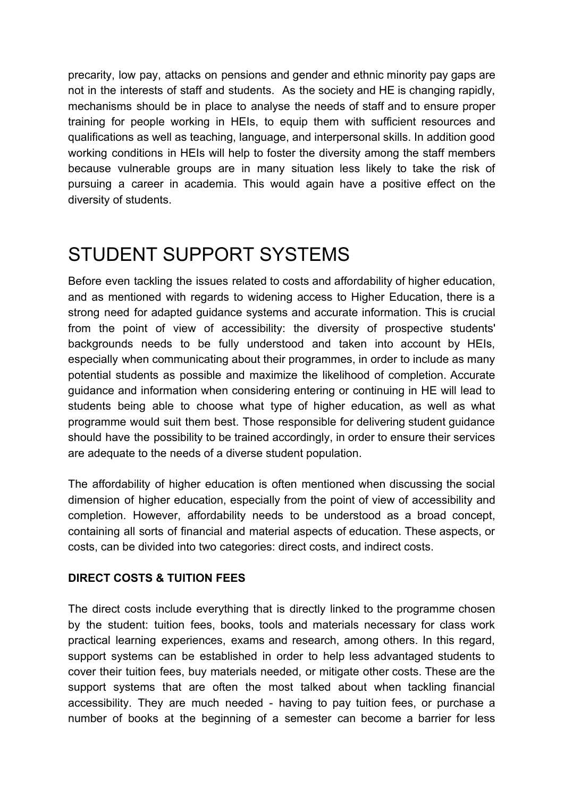precarity, low pay, attacks on pensions and gender and ethnic minority pay gaps are not in the interests of staff and students. As the society and HE is changing rapidly, mechanisms should be in place to analyse the needs of staff and to ensure proper training for people working in HEIs, to equip them with sufficient resources and qualifications as well as teaching, language, and interpersonal skills. In addition good working conditions in HEIs will help to foster the diversity among the staff members because vulnerable groups are in many situation less likely to take the risk of pursuing a career in academia. This would again have a positive effect on the diversity of students.

### <span id="page-6-0"></span>STUDENT SUPPORT SYSTEMS

Before even tackling the issues related to costs and affordability of higher education, and as mentioned with regards to widening access to Higher Education, there is a strong need for adapted guidance systems and accurate information. This is crucial from the point of view of accessibility: the diversity of prospective students' backgrounds needs to be fully understood and taken into account by HEIs, especially when communicating about their programmes, in order to include as many potential students as possible and maximize the likelihood of completion. Accurate guidance and information when considering entering or continuing in HE will lead to students being able to choose what type of higher education, as well as what programme would suit them best. Those responsible for delivering student guidance should have the possibility to be trained accordingly, in order to ensure their services are adequate to the needs of a diverse student population.

The affordability of higher education is often mentioned when discussing the social dimension of higher education, especially from the point of view of accessibility and completion. However, affordability needs to be understood as a broad concept, containing all sorts of financial and material aspects of education. These aspects, or costs, can be divided into two categories: direct costs, and indirect costs.

#### <span id="page-6-1"></span>**DIRECT COSTS & TUITION FEES**

The direct costs include everything that is directly linked to the programme chosen by the student: tuition fees, books, tools and materials necessary for class work practical learning experiences, exams and research, among others. In this regard, support systems can be established in order to help less advantaged students to cover their tuition fees, buy materials needed, or mitigate other costs. These are the support systems that are often the most talked about when tackling financial accessibility. They are much needed - having to pay tuition fees, or purchase a number of books at the beginning of a semester can become a barrier for less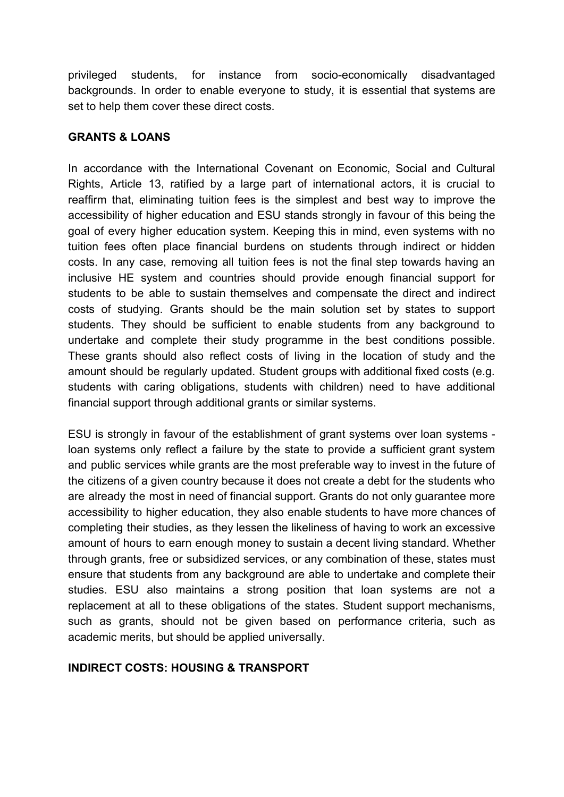privileged students, for instance from socio-economically disadvantaged backgrounds. In order to enable everyone to study, it is essential that systems are set to help them cover these direct costs.

#### <span id="page-7-0"></span>**GRANTS & LOANS**

In accordance with the International Covenant on Economic, Social and Cultural Rights, Article 13, ratified by a large part of international actors, it is crucial to reaffirm that, eliminating tuition fees is the simplest and best way to improve the accessibility of higher education and ESU stands strongly in favour of this being the goal of every higher education system. Keeping this in mind, even systems with no tuition fees often place financial burdens on students through indirect or hidden costs. In any case, removing all tuition fees is not the final step towards having an inclusive HE system and countries should provide enough financial support for students to be able to sustain themselves and compensate the direct and indirect costs of studying. Grants should be the main solution set by states to support students. They should be sufficient to enable students from any background to undertake and complete their study programme in the best conditions possible. These grants should also reflect costs of living in the location of study and the amount should be regularly updated. Student groups with additional fixed costs (e.g. students with caring obligations, students with children) need to have additional financial support through additional grants or similar systems.

ESU is strongly in favour of the establishment of grant systems over loan systems loan systems only reflect a failure by the state to provide a sufficient grant system and public services while grants are the most preferable way to invest in the future of the citizens of a given country because it does not create a debt for the students who are already the most in need of financial support. Grants do not only guarantee more accessibility to higher education, they also enable students to have more chances of completing their studies, as they lessen the likeliness of having to work an excessive amount of hours to earn enough money to sustain a decent living standard. Whether through grants, free or subsidized services, or any combination of these, states must ensure that students from any background are able to undertake and complete their studies. ESU also maintains a strong position that loan systems are not a replacement at all to these obligations of the states. Student support mechanisms, such as grants, should not be given based on performance criteria, such as academic merits, but should be applied universally.

### <span id="page-7-1"></span>**INDIRECT COSTS: HOUSING & TRANSPORT**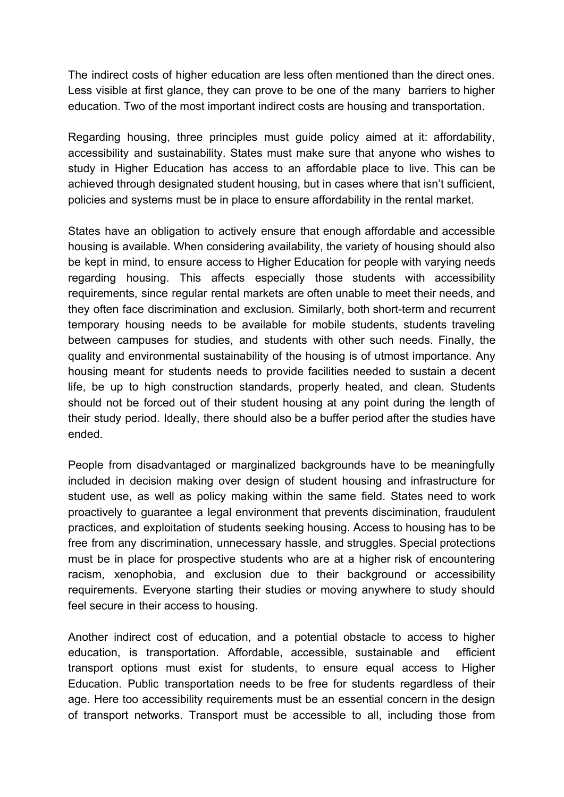The indirect costs of higher education are less often mentioned than the direct ones. Less visible at first glance, they can prove to be one of the many barriers to higher education. Two of the most important indirect costs are housing and transportation.

Regarding housing, three principles must guide policy aimed at it: affordability, accessibility and sustainability. States must make sure that anyone who wishes to study in Higher Education has access to an affordable place to live. This can be achieved through designated student housing, but in cases where that isn't sufficient, policies and systems must be in place to ensure affordability in the rental market.

States have an obligation to actively ensure that enough affordable and accessible housing is available. When considering availability, the variety of housing should also be kept in mind, to ensure access to Higher Education for people with varying needs regarding housing. This affects especially those students with accessibility requirements, since regular rental markets are often unable to meet their needs, and they often face discrimination and exclusion. Similarly, both short-term and recurrent temporary housing needs to be available for mobile students, students traveling between campuses for studies, and students with other such needs. Finally, the quality and environmental sustainability of the housing is of utmost importance. Any housing meant for students needs to provide facilities needed to sustain a decent life, be up to high construction standards, properly heated, and clean. Students should not be forced out of their student housing at any point during the length of their study period. Ideally, there should also be a buffer period after the studies have ended.

People from disadvantaged or marginalized backgrounds have to be meaningfully included in decision making over design of student housing and infrastructure for student use, as well as policy making within the same field. States need to work proactively to guarantee a legal environment that prevents discimination, fraudulent practices, and exploitation of students seeking housing. Access to housing has to be free from any discrimination, unnecessary hassle, and struggles. Special protections must be in place for prospective students who are at a higher risk of encountering racism, xenophobia, and exclusion due to their background or accessibility requirements. Everyone starting their studies or moving anywhere to study should feel secure in their access to housing.

Another indirect cost of education, and a potential obstacle to access to higher education, is transportation. Affordable, accessible, sustainable and efficient transport options must exist for students, to ensure equal access to Higher Education. Public transportation needs to be free for students regardless of their age. Here too accessibility requirements must be an essential concern in the design of transport networks. Transport must be accessible to all, including those from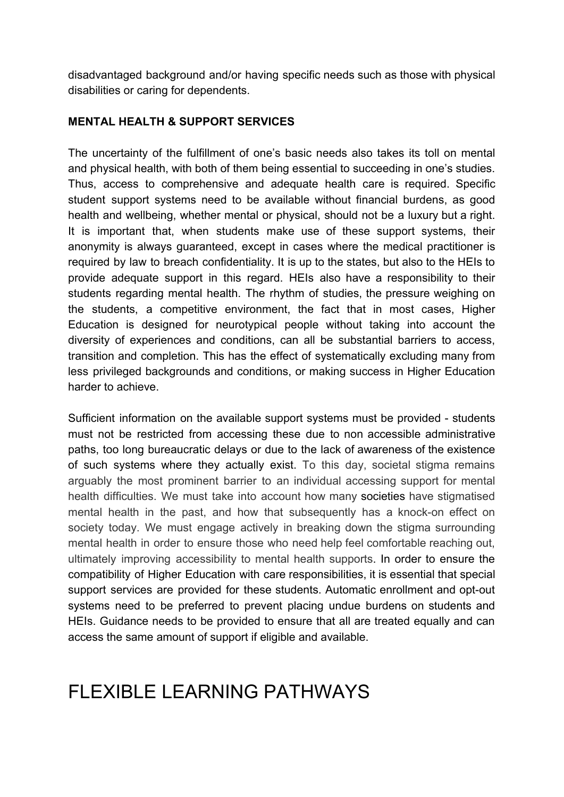disadvantaged background and/or having specific needs such as those with physical disabilities or caring for dependents.

#### <span id="page-9-0"></span>**MENTAL HEALTH & SUPPORT SERVICES**

The uncertainty of the fulfillment of one's basic needs also takes its toll on mental and physical health, with both of them being essential to succeeding in one's studies. Thus, access to comprehensive and adequate health care is required. Specific student support systems need to be available without financial burdens, as good health and wellbeing, whether mental or physical, should not be a luxury but a right. It is important that, when students make use of these support systems, their anonymity is always guaranteed, except in cases where the medical practitioner is required by law to breach confidentiality. It is up to the states, but also to the HEIs to provide adequate support in this regard. HEIs also have a responsibility to their students regarding mental health. The rhythm of studies, the pressure weighing on the students, a competitive environment, the fact that in most cases, Higher Education is designed for neurotypical people without taking into account the diversity of experiences and conditions, can all be substantial barriers to access, transition and completion. This has the effect of systematically excluding many from less privileged backgrounds and conditions, or making success in Higher Education harder to achieve.

Sufficient information on the available support systems must be provided - students must not be restricted from accessing these due to non accessible administrative paths, too long bureaucratic delays or due to the lack of awareness of the existence of such systems where they actually exist. To this day, societal stigma remains arguably the most prominent barrier to an individual accessing support for mental health difficulties. We must take into account how many societies have stigmatised mental health in the past, and how that subsequently has a knock-on effect on society today. We must engage actively in breaking down the stigma surrounding mental health in order to ensure those who need help feel comfortable reaching out, ultimately improving accessibility to mental health supports. In order to ensure the compatibility of Higher Education with care responsibilities, it is essential that special support services are provided for these students. Automatic enrollment and opt-out systems need to be preferred to prevent placing undue burdens on students and HEIs. Guidance needs to be provided to ensure that all are treated equally and can access the same amount of support if eligible and available.

# <span id="page-9-1"></span>FLEXIBLE LEARNING PATHWAYS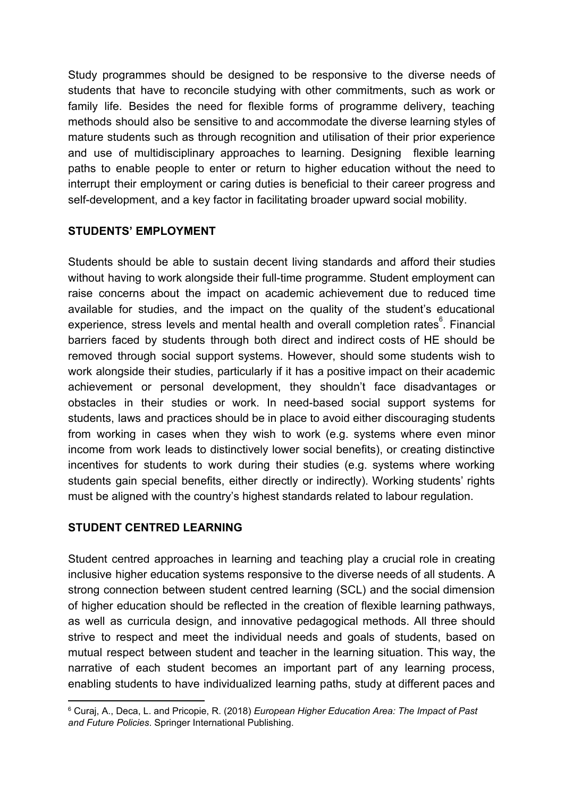Study programmes should be designed to be responsive to the diverse needs of students that have to reconcile studying with other commitments, such as work or family life. Besides the need for flexible forms of programme delivery, teaching methods should also be sensitive to and accommodate the diverse learning styles of mature students such as through recognition and utilisation of their prior experience and use of multidisciplinary approaches to learning. Designing flexible learning paths to enable people to enter or return to higher education without the need to interrupt their employment or caring duties is beneficial to their career progress and self-development, and a key factor in facilitating broader upward social mobility.

#### <span id="page-10-0"></span>**STUDENTS' EMPLOYMENT**

Students should be able to sustain decent living standards and afford their studies without having to work alongside their full-time programme. Student employment can raise concerns about the impact on academic achievement due to reduced time available for studies, and the impact on the quality of the student's educational experience, stress levels and mental health and overall completion rates<sup>6</sup>. Financial barriers faced by students through both direct and indirect costs of HE should be removed through social support systems. However, should some students wish to work alongside their studies, particularly if it has a positive impact on their academic achievement or personal development, they shouldn't face disadvantages or obstacles in their studies or work. In need-based social support systems for students, laws and practices should be in place to avoid either discouraging students from working in cases when they wish to work (e.g. systems where even minor income from work leads to distinctively lower social benefits), or creating distinctive incentives for students to work during their studies (e.g. systems where working students gain special benefits, either directly or indirectly). Working students' rights must be aligned with the country's highest standards related to labour regulation.

### <span id="page-10-1"></span>**STUDENT CENTRED LEARNING**

Student centred approaches in learning and teaching play a crucial role in creating inclusive higher education systems responsive to the diverse needs of all students. A strong connection between student centred learning (SCL) and the social dimension of higher education should be reflected in the creation of flexible learning pathways, as well as curricula design, and innovative pedagogical methods. All three should strive to respect and meet the individual needs and goals of students, based on mutual respect between student and teacher in the learning situation. This way, the narrative of each student becomes an important part of any learning process, enabling students to have individualized learning paths, study at different paces and

<sup>6</sup> Curaj, A., Deca, L. and Pricopie, R. (2018) *European Higher Education Area: The Impact of Past and Future Policies*. Springer International Publishing.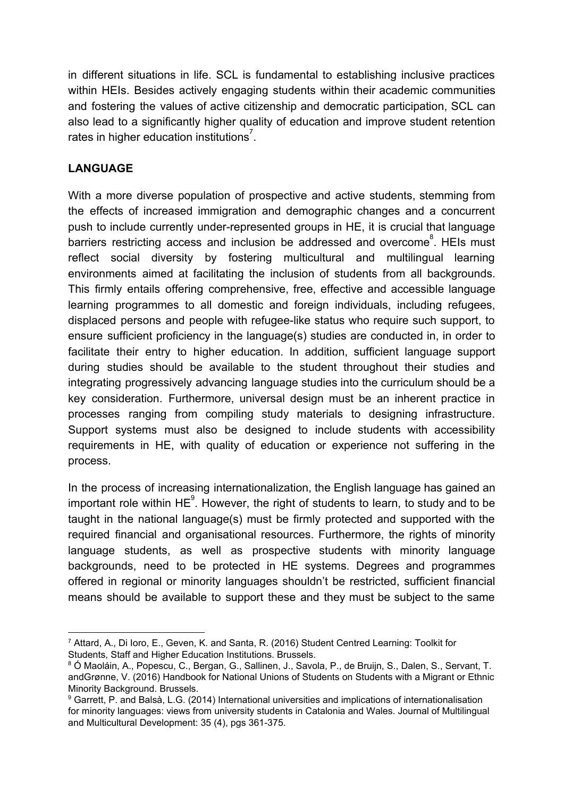in different situations in life. SCL is fundamental to establishing inclusive practices within HEIs. Besides actively engaging students within their academic communities and fostering the values of active citizenship and democratic participation, SCL can also lead to a significantly higher quality of education and improve student retention rates in higher education institutions<sup>7</sup>.

### <span id="page-11-0"></span>**LANGUAGE**

With a more diverse population of prospective and active students, stemming from the effects of increased immigration and demographic changes and a concurrent push to include currently under-represented groups in HE, it is crucial that language barriers restricting access and inclusion be addressed and overcome<sup>8</sup>. HEIs must reflect social diversity by fostering multicultural and multilingual learning environments aimed at facilitating the inclusion of students from all backgrounds. This firmly entails offering comprehensive, free, effective and accessible language learning programmes to all domestic and foreign individuals, including refugees, displaced persons and people with refugee-like status who require such support, to ensure sufficient proficiency in the language(s) studies are conducted in, in order to facilitate their entry to higher education. In addition, sufficient language support during studies should be available to the student throughout their studies and integrating progressively advancing language studies into the curriculum should be a key consideration. Furthermore, universal design must be an inherent practice in processes ranging from compiling study materials to designing infrastructure. Support systems must also be designed to include students with accessibility requirements in HE, with quality of education or experience not suffering in the process.

In the process of increasing internationalization, the English language has gained an important role within  $HE^{\prime}$ . However, the right of students to learn, to study and to be taught in the national language(s) must be firmly protected and supported with the required financial and organisational resources. Furthermore, the rights of minority language students, as well as prospective students with minority language backgrounds, need to be protected in HE systems. Degrees and programmes offered in regional or minority languages shouldn't be restricted, sufficient financial means should be available to support these and they must be subject to the same

<sup>7</sup> Attard, A., Di Ioro, E., Geven, K. and Santa, R. (2016) Student Centred Learning: Toolkit for Students, Staff and Higher Education Institutions. Brussels.

<sup>8</sup> Ó Maoláin, A., Popescu, C., Bergan, G., Sallinen, J., Savola, P., de Bruijn, S., Dalen, S., Servant, T. andGrønne, V. (2016) Handbook for National Unions of Students on Students with a Migrant or Ethnic Minority Background. Brussels.

<sup>9</sup> Garrett, P. and Balsà, L.G. (2014) International universities and implications of internationalisation for minority languages: views from university students in Catalonia and Wales. Journal of Multilingual and Multicultural Development: 35 (4), pgs 361-375.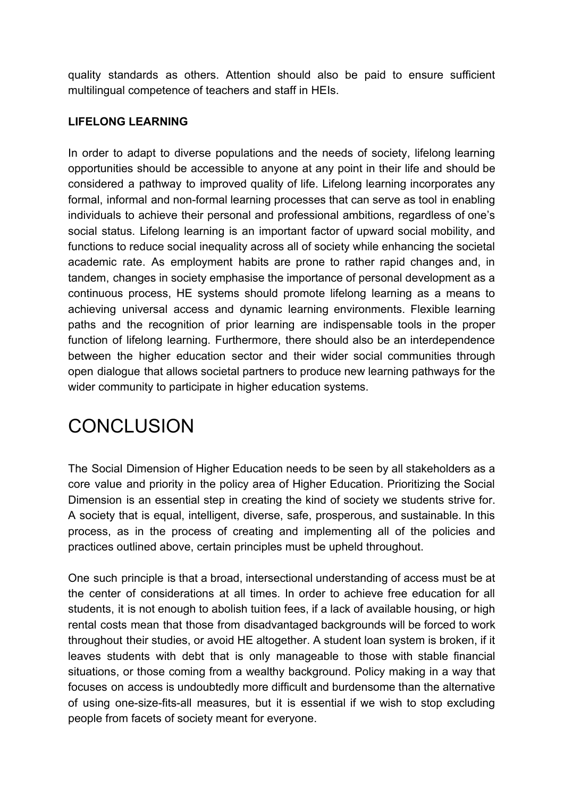quality standards as others. Attention should also be paid to ensure sufficient multilingual competence of teachers and staff in HEIs.

#### <span id="page-12-0"></span>**LIFELONG LEARNING**

In order to adapt to diverse populations and the needs of society, lifelong learning opportunities should be accessible to anyone at any point in their life and should be considered a pathway to improved quality of life. Lifelong learning incorporates any formal, informal and non-formal learning processes that can serve as tool in enabling individuals to achieve their personal and professional ambitions, regardless of one's social status. Lifelong learning is an important factor of upward social mobility, and functions to reduce social inequality across all of society while enhancing the societal academic rate. As employment habits are prone to rather rapid changes and, in tandem, changes in society emphasise the importance of personal development as a continuous process, HE systems should promote lifelong learning as a means to achieving universal access and dynamic learning environments. Flexible learning paths and the recognition of prior learning are indispensable tools in the proper function of lifelong learning. Furthermore, there should also be an interdependence between the higher education sector and their wider social communities through open dialogue that allows societal partners to produce new learning pathways for the wider community to participate in higher education systems.

# <span id="page-12-1"></span>**CONCLUSION**

The Social Dimension of Higher Education needs to be seen by all stakeholders as a core value and priority in the policy area of Higher Education. Prioritizing the Social Dimension is an essential step in creating the kind of society we students strive for. A society that is equal, intelligent, diverse, safe, prosperous, and sustainable. In this process, as in the process of creating and implementing all of the policies and practices outlined above, certain principles must be upheld throughout.

One such principle is that a broad, intersectional understanding of access must be at the center of considerations at all times. In order to achieve free education for all students, it is not enough to abolish tuition fees, if a lack of available housing, or high rental costs mean that those from disadvantaged backgrounds will be forced to work throughout their studies, or avoid HE altogether. A student loan system is broken, if it leaves students with debt that is only manageable to those with stable financial situations, or those coming from a wealthy background. Policy making in a way that focuses on access is undoubtedly more difficult and burdensome than the alternative of using one-size-fits-all measures, but it is essential if we wish to stop excluding people from facets of society meant for everyone.